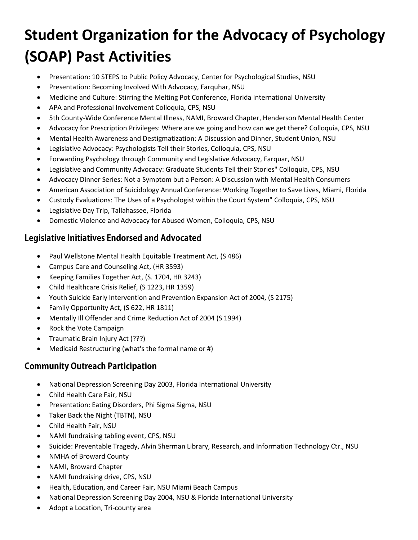## **Student Organization for the Advocacy of Psychology (SOAP) Past Activities**

- Presentation: 10 STEPS to Public Policy Advocacy, Center for Psychological Studies, NSU
- Presentation: Becoming Involved With Advocacy, Farquhar, NSU
- Medicine and Culture: Stirring the Melting Pot Conference, Florida International University
- APA and Professional Involvement Colloquia, CPS, NSU
- 5th County-Wide Conference Mental Illness, NAMI, Broward Chapter, Henderson Mental Health Center
- Advocacy for Prescription Privileges: Where are we going and how can we get there? Colloquia, CPS, NSU
- Mental Health Awareness and Destigmatization: A Discussion and Dinner, Student Union, NSU
- Legislative Advocacy: Psychologists Tell their Stories, Colloquia, CPS, NSU
- Forwarding Psychology through Community and Legislative Advocacy, Farquar, NSU
- Legislative and Community Advocacy: Graduate Students Tell their Stories" Colloquia, CPS, NSU
- Advocacy Dinner Series: Not a Symptom but a Person: A Discussion with Mental Health Consumers
- American Association of Suicidology Annual Conference: Working Together to Save Lives, Miami, Florida
- Custody Evaluations: The Uses of a Psychologist within the Court System" Colloquia, CPS, NSU
- Legislative Day Trip, Tallahassee, Florida
- Domestic Violence and Advocacy for Abused Women, Colloquia, CPS, NSU

## **Legislative Initiatives Endorsed and Advocated**

- Paul Wellstone Mental Health Equitable Treatment Act, (S 486)
- Campus Care and Counseling Act, (HR 3593)
- Keeping Families Together Act, (S. 1704, HR 3243)
- Child Healthcare Crisis Relief, (S 1223, HR 1359)
- Youth Suicide Early Intervention and Prevention Expansion Act of 2004, (S 2175)
- Family Opportunity Act, (S 622, HR 1811)
- Mentally Ill Offender and Crime Reduction Act of 2004 (S 1994)
- Rock the Vote Campaign
- Traumatic Brain Injury Act (???)
- Medicaid Restructuring (what's the formal name or #)

## **Community Outreach Participation**

- National Depression Screening Day 2003, Florida International University
- Child Health Care Fair, NSU
- Presentation: Eating Disorders, Phi Sigma Sigma, NSU
- Taker Back the Night (TBTN), NSU
- Child Health Fair, NSU
- NAMI fundraising tabling event, CPS, NSU
- Suicide: Preventable Tragedy, Alvin Sherman Library, Research, and Information Technology Ctr., NSU
- NMHA of Broward County
- NAMI, Broward Chapter
- NAMI fundraising drive, CPS, NSU
- Health, Education, and Career Fair, NSU Miami Beach Campus
- National Depression Screening Day 2004, NSU & Florida International University
- Adopt a Location, Tri-county area